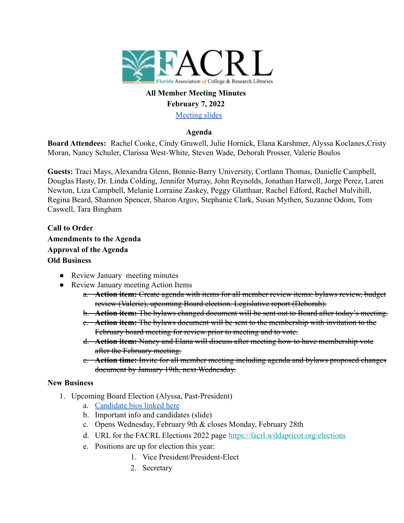

### **All Member Meeting Minutes February 7, 2022**

[Meeting slides](https://docs.google.com/presentation/d/1VdJ7XDrkhKeAvVWLDkjlmyrbQgrUD5YlNj7aGbUKCxk/edit?usp=sharing)

### **Agenda**

**Board Attendees:** Rachel Cooke, Cindy Gruwell, Julie Hornick, Elana Karshmer, Alyssa Koclanes,Cristy Moran, Nancy Schuler, Clarissa West-White, Steven Wade, Deborah Prosser, Valerie Boulos

**Guests:** Traci Mays, Alexandra Glenn, Bonnie-Barry University, Cortlann Thomas, Danielle Campbell, Douglas Hasty, Dr. Linda Colding, Jennifer Murray, John Reynolds, Jonathan Harwell, Jorge Perez, Laren Newton, Liza Campbell, Melanie Lorraine Zaskey, Peggy Glatthaar, Rachel Edford, Rachel Mulvihill, Regina Beard, Shannon Spencer, Sharon Argov, Stephanie Clark, Susan Mythen, Suzanne Odom, Tom Caswell, Tara Bingham

**Call to Order Amendments to the Agenda Approval of the Agenda Old Business**

- Review January meeting minutes
- Review January meeting Action Items
	- a. **Action item:** Create agenda with items for all member review items: bylaws review, budget review (Valerie), upcoming Board election. Legislative report (Deborah).
	- b. **Action item:** The bylaws changed document will be sent out to Board after today's meeting.
	- c. **Action item:** The bylaws document will be sent to the membership with invitation to the February board meeting for review prior to meeting and to vote.
	- d. **Action item:** Nancy and Elana will discuss after meeting how to have membership vote after the February meeting.
	- e. **Action time:** Invite for all member meeting including agenda and bylaws proposed changes document by January 19th, next Wednesday.

### **New Business**

- 1. Upcoming Board Election (Alyssa, Past-President)
	- a. [Candidate bios linked here](https://facrl.wildapricot.org/elections)
	- b. Important info and candidates (slide)
	- c. Opens Wednesday, February 9th & closes Monday, February 28th
	- d. URL for the FACRL Elections 2022 page <https://facrl.wildapricot.org/elections>
	- e. Positions are up for election this year:
		- 1. Vice President/President-Elect
		- 2. Secretary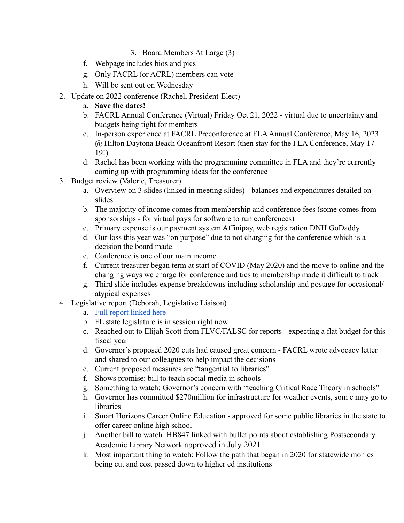- 3. Board Members At Large (3)
- f. Webpage includes bios and pics
- g. Only FACRL (or ACRL) members can vote
- h. Will be sent out on Wednesday
- 2. Update on 2022 conference (Rachel, President-Elect)
	- a. **Save the dates!**
	- b. FACRL Annual Conference (Virtual) Friday Oct 21, 2022 virtual due to uncertainty and budgets being tight for members
	- c. In-person experience at FACRL Preconference at FLA Annual Conference, May 16, 2023 @ Hilton Daytona Beach Oceanfront Resort (then stay for the FLA Conference, May 17 - 19!)
	- d. Rachel has been working with the programming committee in FLA and they're currently coming up with programming ideas for the conference
- 3. Budget review (Valerie, Treasurer)
	- a. Overview on 3 slides (linked in meeting slides) balances and expenditures detailed on slides
	- b. The majority of income comes from membership and conference fees (some comes from sponsorships - for virtual pays for software to run conferences)
	- c. Primary expense is our payment system Affinipay, web registration DNH GoDaddy
	- d. Our loss this year was "on purpose" due to not charging for the conference which is a decision the board made
	- e. Conference is one of our main income
	- f. Current treasurer began term at start of COVID (May 2020) and the move to online and the changing ways we charge for conference and ties to membership made it difficult to track
	- g. Third slide includes expense breakdowns including scholarship and postage for occasional/ atypical expenses
- 4. Legislative report (Deborah, Legislative Liaison)
	- a. [Full report linked here](https://docs.google.com/document/d/1PsVMKHnj2vLuGWH2Uelp4RUAj3fWArtou1VDLaeXqpI/edit?usp=sharing)
	- b. FL state legislature is in session right now
	- c. Reached out to Elijah Scott from FLVC/FALSC for reports expecting a flat budget for this fiscal year
	- d. Governor's proposed 2020 cuts had caused great concern FACRL wrote advocacy letter and shared to our colleagues to help impact the decisions
	- e. Current proposed measures are "tangential to libraries"
	- f. Shows promise: bill to teach social media in schools
	- g. Something to watch: Governor's concern with "teaching Critical Race Theory in schools"
	- h. Governor has committed \$270million for infrastructure for weather events, som e may go to **libraries**
	- i. Smart Horizons Career Online Education approved for some public libraries in the state to offer career online high school
	- j. Another bill to watch HB847 linked with bullet points about establishing Postsecondary Academic Library Network approved in July 2021
	- k. Most important thing to watch: Follow the path that began in 2020 for statewide monies being cut and cost passed down to higher ed institutions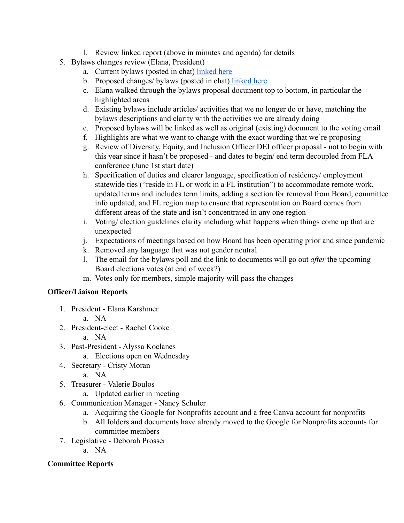- l. Review linked report (above in minutes and agenda) for details
- 5. Bylaws changes review (Elana, President)
	- a. Current bylaws (posted in chat) [linked here](https://facrl.wildapricot.org/resources/Documents/minutes/Bylaws%20approved%2012_2017.pdf)
	- b. Proposed changes/ bylaws (posted in chat) [linked here](https://docs.google.com/document/d/1OW8KV9bm30LoBpBE6vokmpV1YSSxs8OhWAe0aaenDeM/edit)
	- c. Elana walked through the bylaws proposal document top to bottom, in particular the highlighted areas
	- d. Existing bylaws include articles/ activities that we no longer do or have, matching the bylaws descriptions and clarity with the activities we are already doing
	- e. Proposed bylaws will be linked as well as original (existing) document to the voting email
	- f. Highlights are what we want to change with the exact wording that we're proposing
	- g. Review of Diversity, Equity, and Inclusion Officer DEI officer proposal not to begin with this year since it hasn't be proposed - and dates to begin/ end term decoupled from FLA conference (June 1st start date)
	- h. Specification of duties and clearer language, specification of residency/ employment statewide ties ("reside in FL or work in a FL institution") to accommodate remote work, updated terms and includes term limits, adding a section for removal from Board, committee info updated, and FL region map to ensure that representation on Board comes from different areas of the state and isn't concentrated in any one region
	- i. Voting/ election guidelines clarity including what happens when things come up that are unexpected
	- j. Expectations of meetings based on how Board has been operating prior and since pandemic
	- k. Removed any language that was not gender neutral
	- l. The email for the bylaws poll and the link to documents will go out *after* the upcoming Board elections votes (at end of week?)
	- m. Votes only for members, simple majority will pass the changes

# **Officer/Liaison Reports**

- 1. President Elana Karshmer
	- a. NA
- 2. President-elect Rachel Cooke
	- a. NA
- 3. Past-President Alyssa Koclanes
	- a. Elections open on Wednesday
- 4. Secretary Cristy Moran
	- a. NA
- 5. Treasurer Valerie Boulos
	- a. Updated earlier in meeting
- 6. Communication Manager Nancy Schuler
	- a. Acquiring the Google for Nonprofits account and a free Canva account for nonprofits
	- b. All folders and documents have already moved to the Google for Nonprofits accounts for committee members
- 7. Legislative Deborah Prosser
	- a. NA

# **Committee Reports**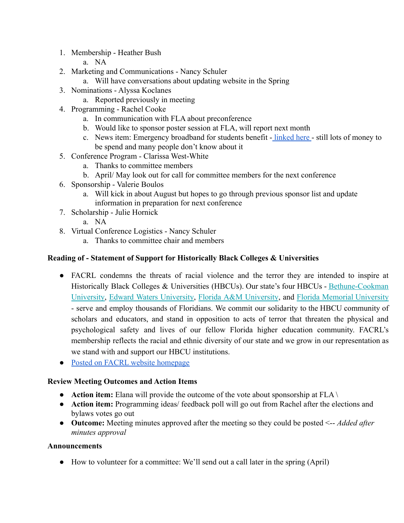- 1. Membership Heather Bush
	- a. NA
- 2. Marketing and Communications Nancy Schuler
	- a. Will have conversations about updating website in the Spring
- 3. Nominations Alyssa Koclanes
	- a. Reported previously in meeting
- 4. Programming Rachel Cooke
	- a. In communication with FLA about preconference
	- b. Would like to sponsor poster session at FLA, will report next month
	- c. News item: Emergency broadband for students benefit [linked here](https://www.fcc.gov/broadbandbenefit) still lots of money to be spend and many people don't know about it
- 5. Conference Program Clarissa West-White
	- a. Thanks to committee members
	- b. April/ May look out for call for committee members for the next conference
- 6. Sponsorship Valerie Boulos
	- a. Will kick in about August but hopes to go through previous sponsor list and update information in preparation for next conference
- 7. Scholarship Julie Hornick
	- a. NA
- 8. Virtual Conference Logistics Nancy Schuler
	- a. Thanks to committee chair and members

### **Reading of - Statement of Support for Historically Black Colleges & Universities**

- FACRL condemns the threats of racial violence and the terror they are intended to inspire at Historically Black Colleges & Universities (HBCUs). Our state's four HBCUs - [Bethune-Cookman](https://urldefense.proofpoint.com/v2/url?u=https-3A__www.cookman.edu_&d=DwMGaQ&c=AyrajPdOsbMUQ9pNazKW2A&r=7czHyyZVJAaitJlukEUcIfoLi_zJrGQOJc-2XAwos9s&m=_Sic6wCz1L0zkm7umeZqTxkNCC4XgI4llL0QoSjQJZhr_wQvYTwhhdj5_Rvt1u3F&s=-MdrUz45POAbBFfJdnDhuoS_534VDunWGUrln-QLaBo&e=) [University,](https://urldefense.proofpoint.com/v2/url?u=https-3A__www.cookman.edu_&d=DwMGaQ&c=AyrajPdOsbMUQ9pNazKW2A&r=7czHyyZVJAaitJlukEUcIfoLi_zJrGQOJc-2XAwos9s&m=_Sic6wCz1L0zkm7umeZqTxkNCC4XgI4llL0QoSjQJZhr_wQvYTwhhdj5_Rvt1u3F&s=-MdrUz45POAbBFfJdnDhuoS_534VDunWGUrln-QLaBo&e=) Edward Waters [University,](https://urldefense.proofpoint.com/v2/url?u=https-3A__www.ewc.edu_&d=DwMGaQ&c=AyrajPdOsbMUQ9pNazKW2A&r=7czHyyZVJAaitJlukEUcIfoLi_zJrGQOJc-2XAwos9s&m=_Sic6wCz1L0zkm7umeZqTxkNCC4XgI4llL0QoSjQJZhr_wQvYTwhhdj5_Rvt1u3F&s=-BGaEosUAQK3KF3l5OEc8bzlcsgltyCs2JtyFL31eew&e=) Florida A&M [University](https://urldefense.proofpoint.com/v2/url?u=https-3A__www.famu.edu_&d=DwMGaQ&c=AyrajPdOsbMUQ9pNazKW2A&r=7czHyyZVJAaitJlukEUcIfoLi_zJrGQOJc-2XAwos9s&m=_Sic6wCz1L0zkm7umeZqTxkNCC4XgI4llL0QoSjQJZhr_wQvYTwhhdj5_Rvt1u3F&s=yrhYmwnLn8e6xXVT5PMyGomKaAF3nDSVJhM6mmx1cCs&e=), and Florida Memorial [University](https://urldefense.proofpoint.com/v2/url?u=https-3A__www.fmuniv.edu_&d=DwMGaQ&c=AyrajPdOsbMUQ9pNazKW2A&r=7czHyyZVJAaitJlukEUcIfoLi_zJrGQOJc-2XAwos9s&m=_Sic6wCz1L0zkm7umeZqTxkNCC4XgI4llL0QoSjQJZhr_wQvYTwhhdj5_Rvt1u3F&s=nrBPv6ZehKj6usnJVACW1wOfW8pgfVzaxiA3cG37XMs&e=) - serve and employ thousands of Floridians. We commit our solidarity to the HBCU community of scholars and educators, and stand in opposition to acts of terror that threaten the physical and psychological safety and lives of our fellow Florida higher education community. FACRL's membership reflects the racial and ethnic diversity of our state and we grow in our representation as we stand with and support our HBCU institutions.
- [Posted on FACRL website homepage](https://facrl.wildapricot.org/)

### **Review Meeting Outcomes and Action Items**

- **Action item:** Elana will provide the outcome of the vote about sponsorship at FLA \
- **Action item:** Programming ideas/ feedback poll will go out from Rachel after the elections and bylaws votes go out
- **Outcome:** Meeting minutes approved after the meeting so they could be posted <-- *Added after minutes approval*

### **Announcements**

● How to volunteer for a committee: We'll send out a call later in the spring (April)